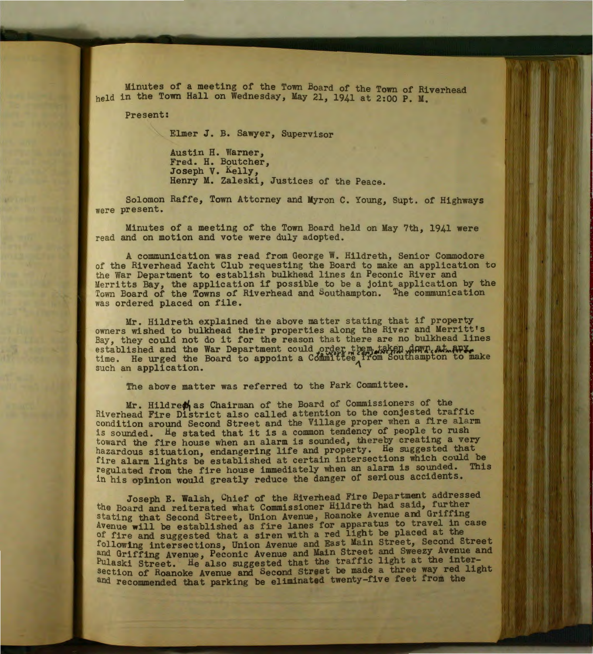Minutes of a meeting of the Town Board of the Town of Riverhead held in the Town Hall on Wednesday, May 21, 1941 at 2:00 P. M.

Present:

Elmer J. B. Sawyer, Supervisor

Austin H. Warner, Fred. H. Boutcher, Joseph V. Kelly, Henry M. Zaleski, Justices of the Peace.

Solomon Raffe, Town Attorney and Myron C. Young, Supt. of Highways were present.

Minutes of a meeting of the Town Board held on May 7th, 1941 were read and on motion and vote were duly adopted.

A communication was read from George W. Hildreth, Senior Commodore of the Riverhead Yacht Club requesting the Board to make an application to the War Department to establish bulkhead lines in Peconic River and Merritts Bay, the application if possible to be a joint application by the Town Board of the Towns of Riverhead and Southampton. The communication was ordered placed on file.

Mr. Hildreth explained the above matter stating that if property owners wished to bulkhead their properties along the River and Merritt's Bay, they could not do it for the reason that there are no bulkhead lines established and the War Department could order them, taken down, at APY.<br>time. He urged the Board to appoint a Committee, from Southampton to make such an application.

The above matter was referred to the Park Committee.

Mr. Hildre $\phi_1$  as Chairman of the Board of Commissioners of the Riverhead Fire District also called attention to the conjested traffic condition around Second Street and the Village proper when a fire alarm is sounded. He stated that it is a common tendency of people to rush toward the fire house when an alarm is sounded, thereby creating a very hazardous situation, endangering life and property. He suggested that fire alarm lights be established at certain intersections which could be regulated from the fire house immediately when an alarm is sounded. This in his opinion would greatly reduce the danger of serious accidents.

Joseph E. Walsh, Chief of the Riverhead Fire Department addressed the Board and reiterated what Commissioner Hildreth had sa1d, further stating that Second Street, Union Avenue, Roanoke Avenue and Griffing Avenue will be established as fire lanes for apparatus to travel in case of fire and suggested that a siren with a red light be placed at the following intersections, Union Avenue and East Main Street, Second Street and Griffing Avenue, Peconic Avenue and Main Street and Sweezy Avenue and Pulaski Street. He also suggested that the traffic light at the intersection of Roanoke Avenue and Second Street be made a three way red light and recommended that parking be eliminated twenty-five feet from the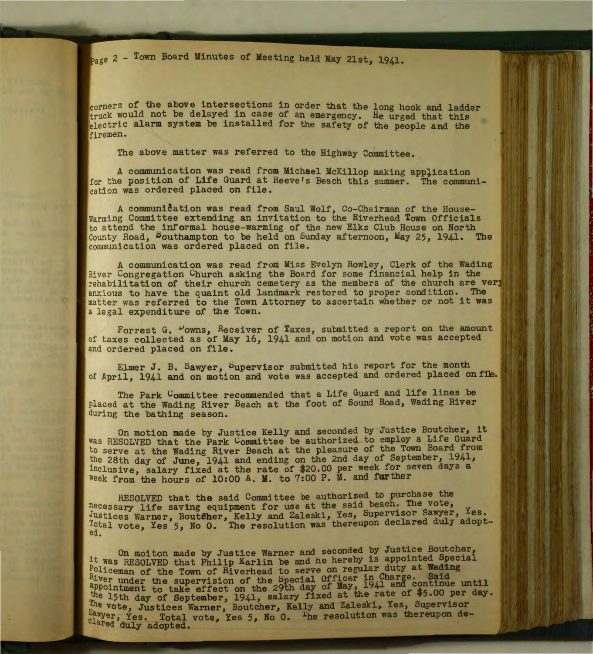<sub>Page</sub> 2 - Town Board Minutes of Meeting held May 21st, 1941.

corners of the above intersections in order that the long hook and ladder truck would not be delayed in case of an emergency. He urged that this electric alarm system be installed for the safety of the people and the firemen.

The above matter was referred to the Highway Committee.

A communication was read from Michael McKillop making application for the position of Life Guard at Reeve's Beach this summer. The communication was ordered placed on file.

A communication was read from Saul Wolf, Co-Chairman of the House-Warming Committee extending an invitation to the Riverhead Town Officials to attend the informal house-warming of the new Elks Club House on North County Road, Southampton to be held on Sunday afternoon, May 25, 1941. The communication was ordered placed on file.

A communication was read from Miss Evelyn Rowley, Clerk of the Wading River Congregation Church asking the Board for some financial help in the rehabilitation of their church cemetery as the members of the church are very anxious to have the quaint old landmark restored to proper condition. The matter was referred to the Town Attorney to ascertain whether or not it was a legal expenditure of the Town.

Forrest G. "owns, Receiver of Taxes, submitted a report on the amount of taxes collected as of May 16, 1941 and on motion and vote was accepted and ordered placed on file.

Elmer J. B. Sawyer, bupervisor submitted his report for the month of April, 1941 and on motion and vote was accepted and ordered placed on file.

The Park Committee recommended that a Life Guard and life lines be placed at the Wading River Beach at the foot of Sound Road, Wading River during the bathing season.

On motion made by Justice Kelly and seconded by Justice Boutcher, it was RESOLVED that the Park Committee be authorized to employ a Life Guard to serve at the Wading River Beach at the pleasure of the Town Board from the 28th day of June, 1941 and ending on the 2nd day of September, 1941, lnclusive, salary fixed at the rate of \$20.00 per week for seven days a week from the hours of 10:00 A. M. to 7:00 P. M. and further

RESOLVED that the said Committee be authorized to purchase the necessary life saving equipment for use at the said beach. The vote, Justices Warner, Boutfher, Kelly and Zaleski, Yes, Supervisor Sawyer, Ies. Total vote, Yes 5, No 0. The resolution was thereupon declared duly adopted.

. On moiton made by Justice Warner and seconded by Justice Boutcher, lt was RESOLVED that Philip Karlin be and he hereby is appointed Special Policeman of the Town of Riverhead to serve on regular duty at Wading  $R_1$ ver under the supervision of the Special Officer in Charge. Said appointment to take effect on the 29th day of May, 1941 and continue until the 15th day of September, 1941, salary fixed at the rate of \$5.00 per day. e vote, Justices Warner, Boutcher, Kelly and Zaleski, Yes, Supervisor Sawyer, Yes. Total vote, Yes 5, No 0. <sup>The</sup> resolution was thereupon deared duly adopted.